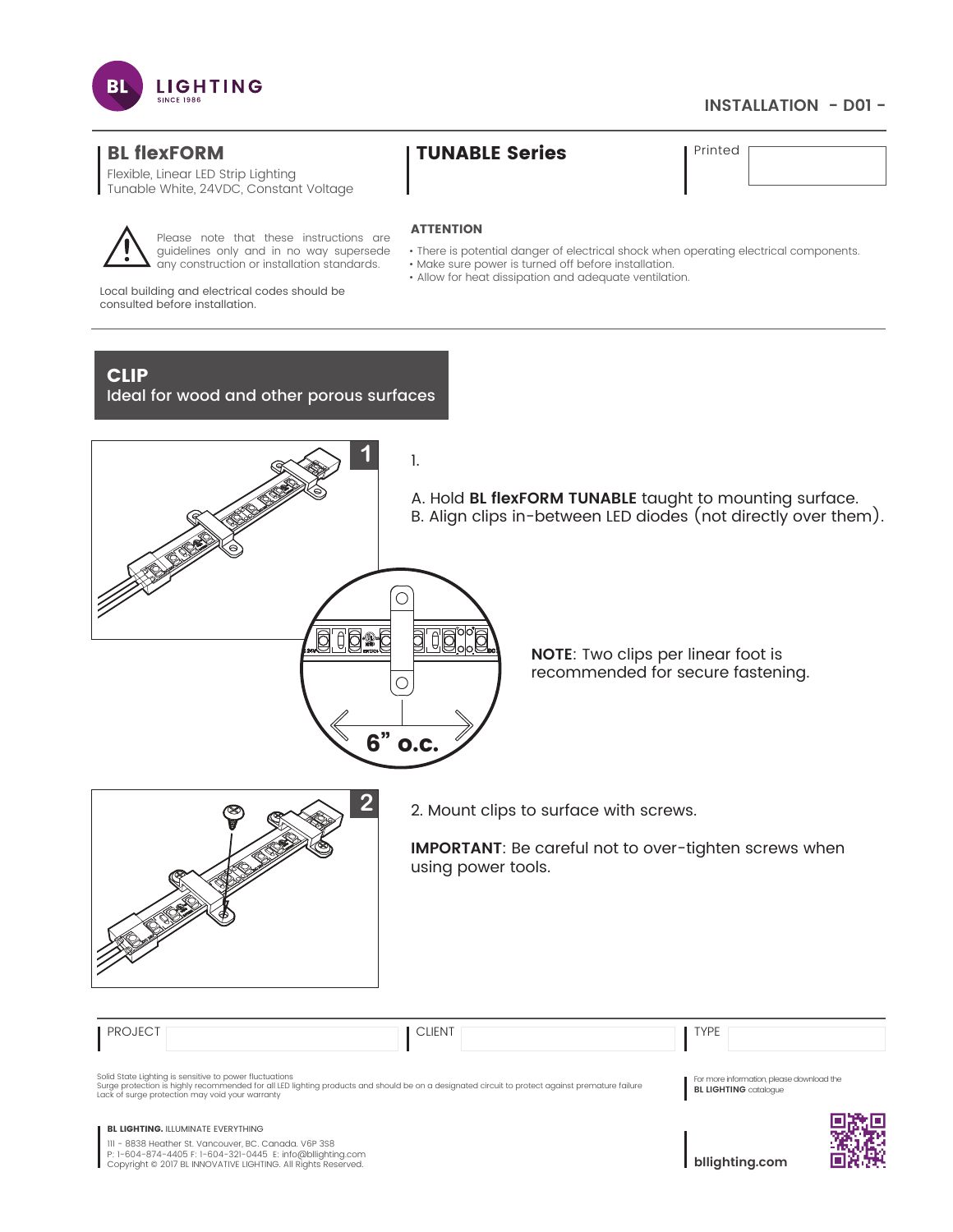

# **INSTALLATION - D01 -**

# BL flexFORM TUNABLE Series Printed

Flexible, Linear LED Strip Lighting Tunable White, 24VDC, Constant Voltage



Please note that these instructions are guidelines only and in no way supersede any construction or installation standards.

• There is potential danger of electrical shock when operating electrical components.

• Make sure power is turned off before installation.

**ATTENTION** 

• Allow for heat dissipation and adequate ventilation.

Local building and electrical codes should be consulted before installation.

# CLIP

Ideal for wood and other porous surfaces



B. Align clips in-between LED diodes (not directly over them).

**NOTE**: Two clips per linear foot is recommended for secure fastening.



**2** 2. Mount clips to surface with screws.

**IMPORTANT**: Be careful not to over-tighten screws when using power tools.

| <b>PROJECT</b> | <b>CLIENT</b>                                                                                                                                                                                                                                                 | <b>TYPE</b>                                                               |  |
|----------------|---------------------------------------------------------------------------------------------------------------------------------------------------------------------------------------------------------------------------------------------------------------|---------------------------------------------------------------------------|--|
|                | Solid State Lighting is sensitive to power fluctuations<br>Surge protection is highly recommended for all LED lighting products and should be on a designated circuit to protect against premature failure<br>Lack of surge protection may void your warranty | For more information, please download the<br><b>BL LIGHTING</b> catalogue |  |
|                | <b>BL LIGHTING. ILLUMINATE EVERYTHING</b><br>III - 8838 Heather St. Vancouver, BC. Canada. V6P 3S8<br>P: 1-604-874-4405 F: 1-604-321-0445 E: info@bllighting.com<br>Copyright © 2017 BL INNOVATIVE LIGHTING. All Rights Reserved.                             | bllighting.com                                                            |  |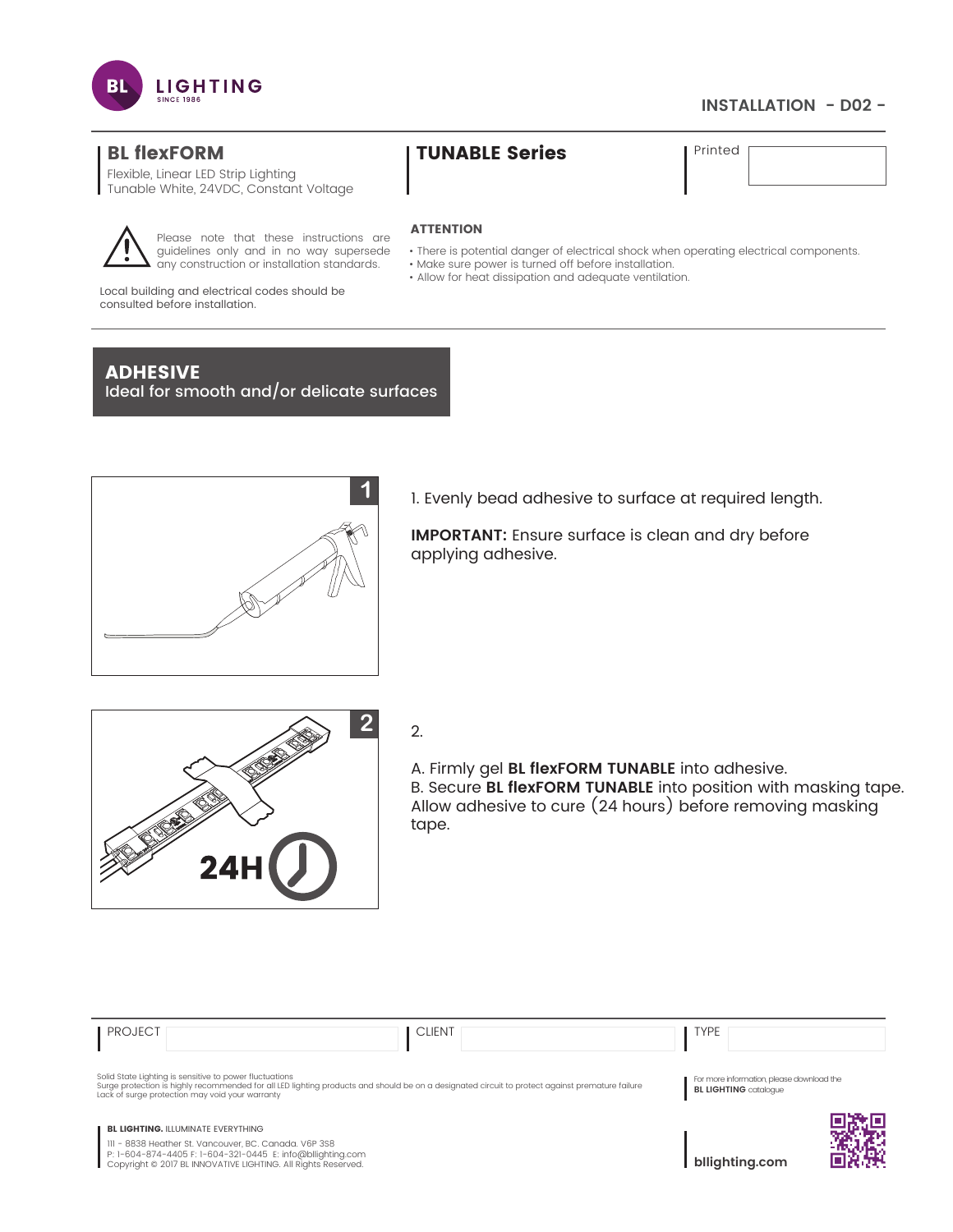

# **INSTALLATION - D02 -**

Flexible, Linear LED Strip Lighting Tunable White, 24VDC, Constant Voltage



Please note that these instructions are guidelines only and in no way supersede any construction or installation standards.

# BL flexFORM TUNABLE Series Printed

### **ATTENTION**

- There is potential danger of electrical shock when operating electrical components.
- Make sure power is turned off before installation.
- Allow for heat dissipation and adequate ventilation.

Local building and electrical codes should be consulted before installation.

# ADHESIVE

Ideal for smooth and/or delicate surfaces



1. Evenly bead adhesive to surface at required length.

**IMPORTANT:** Ensure surface is clean and dry before applying adhesive.



A. Firmly gel **BL flexFORM TUNABLE** into adhesive. B. Secure **BL flexFORM TUNABLE** into position with masking tape. Allow adhesive to cure (24 hours) before removing masking tape.

| <b>PROJECT</b>                                                                                                                                                                                                                                                | <b>CLIENT</b> | <b>TYPE</b>                                                               |  |
|---------------------------------------------------------------------------------------------------------------------------------------------------------------------------------------------------------------------------------------------------------------|---------------|---------------------------------------------------------------------------|--|
| Solid State Lighting is sensitive to power fluctuations<br>Surge protection is highly recommended for all LED lighting products and should be on a designated circuit to protect against premature failure<br>Lack of surge protection may void your warranty |               | For more information, please download the<br><b>BL LIGHTING</b> catalogue |  |
| <b>BL LIGHTING. ILLUMINATE EVERYTHING</b><br>III - 8838 Heather St. Vancouver, BC. Canada. V6P 3S8<br>P: 1-604-874-4405 F: 1-604-321-0445 E: info@bllighting.com<br>Copyright © 2017 BL INNOVATIVE LIGHTING. All Rights Reserved.                             |               | bllighting.com                                                            |  |